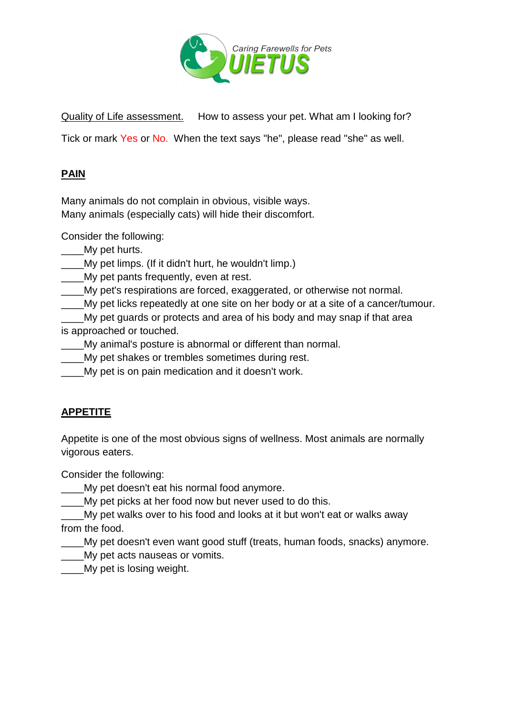

Quality of Life assessment. How to assess your pet. What am I looking for?

Tick or mark Yes or No. When the text says "he", please read "she" as well.

# **PAIN**

Many animals do not complain in obvious, visible ways. Many animals (especially cats) will hide their discomfort.

Consider the following:

My pet hurts.

\_\_\_\_My pet limps. (If it didn't hurt, he wouldn't limp.)

**Wy pet pants frequently, even at rest.** 

\_\_\_\_My pet's respirations are forced, exaggerated, or otherwise not normal.

\_\_\_\_My pet licks repeatedly at one site on her body or at a site of a cancer/tumour.

My pet guards or protects and area of his body and may snap if that area is approached or touched.

\_\_\_\_My animal's posture is abnormal or different than normal.

\_\_\_\_My pet shakes or trembles sometimes during rest.

My pet is on pain medication and it doesn't work.

## **APPETITE**

Appetite is one of the most obvious signs of wellness. Most animals are normally vigorous eaters.

Consider the following:

My pet doesn't eat his normal food anymore.

\_\_\_\_My pet picks at her food now but never used to do this.

\_\_\_\_My pet walks over to his food and looks at it but won't eat or walks away from the food.

My pet doesn't even want good stuff (treats, human foods, snacks) anymore.

My pet acts nauseas or vomits.

\_\_\_\_My pet is losing weight.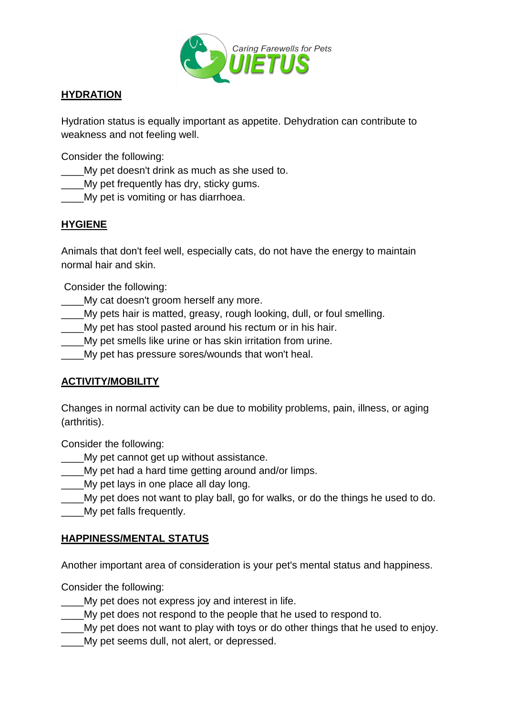

## **HYDRATION**

Hydration status is equally important as appetite. Dehydration can contribute to weakness and not feeling well.

Consider the following:

- \_\_\_\_My pet doesn't drink as much as she used to.
- \_\_\_\_My pet frequently has dry, sticky gums.
- \_\_\_\_My pet is vomiting or has diarrhoea.

## **HYGIENE**

Animals that don't feel well, especially cats, do not have the energy to maintain normal hair and skin.

Consider the following:

- \_\_\_\_My cat doesn't groom herself any more.
- My pets hair is matted, greasy, rough looking, dull, or foul smelling.
- \_\_\_\_My pet has stool pasted around his rectum or in his hair.
- My pet smells like urine or has skin irritation from urine.
- My pet has pressure sores/wounds that won't heal.

## **ACTIVITY/MOBILITY**

Changes in normal activity can be due to mobility problems, pain, illness, or aging (arthritis).

Consider the following:

- \_\_\_\_My pet cannot get up without assistance.
- My pet had a hard time getting around and/or limps.
- \_\_\_\_My pet lays in one place all day long.
- \_\_\_\_My pet does not want to play ball, go for walks, or do the things he used to do. \_\_\_\_My pet falls frequently.

#### **HAPPINESS/MENTAL STATUS**

Another important area of consideration is your pet's mental status and happiness.

Consider the following:

- My pet does not express joy and interest in life.
- \_\_\_\_My pet does not respond to the people that he used to respond to.
- My pet does not want to play with toys or do other things that he used to enjoy.
- My pet seems dull, not alert, or depressed.